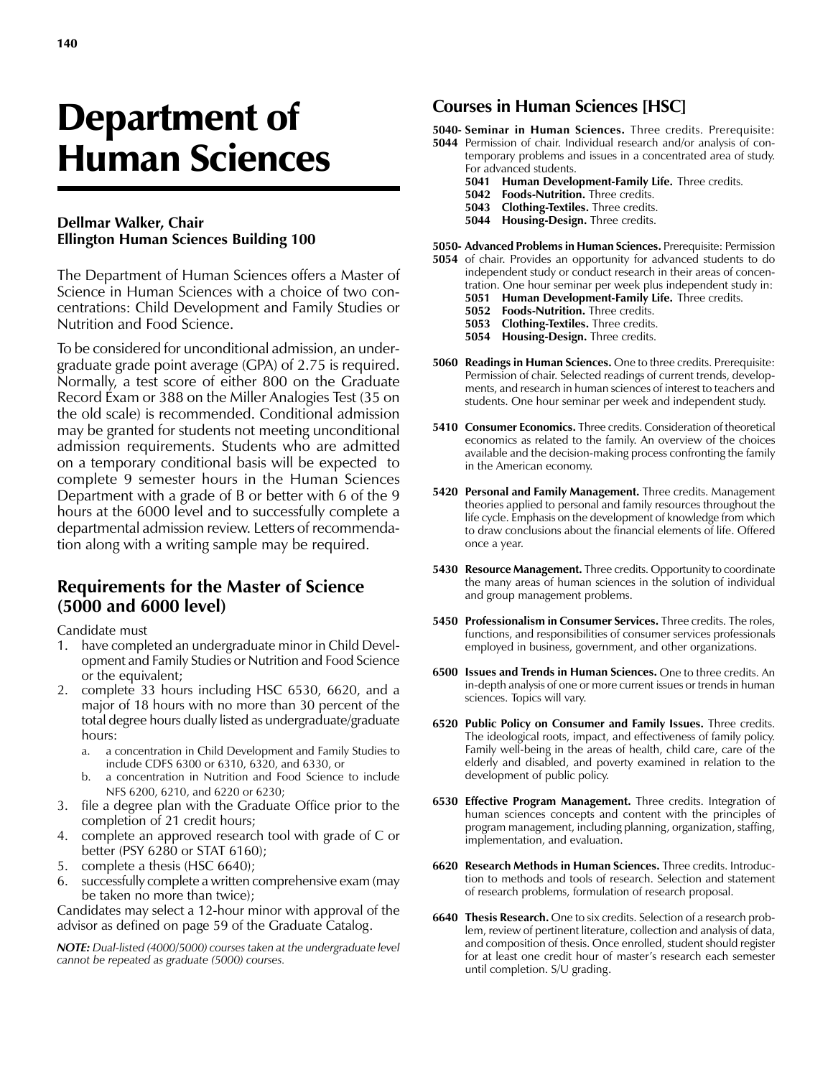# Department of Human Sciences

#### **Dellmar Walker, Chair Ellington Human Sciences Building 100**

The Department of Human Sciences offers a Master of Science in Human Sciences with a choice of two concentrations: Child Development and Family Studies or Nutrition and Food Science.

To be considered for unconditional admission, an undergraduate grade point average (GPA) of 2.75 is required. Normally, a test score of either 800 on the Graduate Record Exam or 388 on the Miller Analogies Test (35 on the old scale) is recommended. Conditional admission may be granted for students not meeting unconditional admission requirements. Students who are admitted on a temporary conditional basis will be expected to complete 9 semester hours in the Human Sciences Department with a grade of B or better with 6 of the 9 hours at the 6000 level and to successfully complete a departmental admission review. Letters of recommendation along with a writing sample may be required.

### **Requirements for the Master of Science (5000 and 6000 level)**

Candidate must

- 1. have completed an undergraduate minor in Child Development and Family Studies or Nutrition and Food Science or the equivalent;
- 2. complete 33 hours including HSC 6530, 6620, and a major of 18 hours with no more than 30 percent of the total degree hours dually listed as undergraduate/graduate hours:
	- a. a concentration in Child Development and Family Studies to include CDFS 6300 or 6310, 6320, and 6330, or
	- b. a concentration in Nutrition and Food Science to include NFS 6200, 6210, and 6220 or 6230;
- 3. file a degree plan with the Graduate Office prior to the completion of 21 credit hours;
- 4. complete an approved research tool with grade of C or better (PSY 6280 or STAT 6160);
- 5. complete a thesis (HSC 6640);
- 6. successfully complete a written comprehensive exam (may be taken no more than twice);

Candidates may select a 12-hour minor with approval of the advisor as defined on page 59 of the Graduate Catalog.

*NOTE: Dual-listed (4000/5000) courses taken at the undergraduate level cannot be repeated as graduate (5000) courses.*

#### **Courses in Human Sciences [HSC]**

**5040- Seminar in Human Sciences.** Three credits. Prerequisite:

- **5044** Permission of chair. Individual research and/or analysis of contemporary problems and issues in a concentrated area of study. For advanced students.
	- **5041 Human Development-Family Life.** Three credits.
	- **5042 Foods-Nutrition.** Three credits.
	- **5043 Clothing-Textiles.** Three credits.
	- **5044 Housing-Design.** Three credits.

**5050- Advanced Problems in Human Sciences.** Prerequisite: Permission

- **5054** of chair. Provides an opportunity for advanced students to do independent study or conduct research in their areas of concentration. One hour seminar per week plus independent study in:
	- **5051 Human Development-Family Life.** Three credits.
	- **5052 Foods-Nutrition.** Three credits.
	- **5053 Clothing-Textiles.** Three credits.
	- **5054 Housing-Design.** Three credits.
- **5060 Readings in Human Sciences.** One to three credits. Prerequisite: Permission of chair. Selected readings of current trends, developments, and research in human sciences of interest to teachers and students. One hour seminar per week and independent study.
- **5410 Consumer Economics.** Three credits. Consideration of theoretical economics as related to the family. An overview of the choices available and the decision-making process confronting the family in the American economy.
- **5420 Personal and Family Management.** Three credits. Management theories applied to personal and family resources throughout the life cycle. Emphasis on the development of knowledge from which to draw conclusions about the financial elements of life. Offered once a year.
- **5430 Resource Management.** Three credits. Opportunity to coordinate the many areas of human sciences in the solution of individual and group management problems.
- **5450 Professionalism in Consumer Services.** Three credits. The roles, functions, and responsibilities of consumer services professionals employed in business, government, and other organizations.
- **6500 Issues and Trends in Human Sciences.** One to three credits. An in-depth analysis of one or more current issues or trends in human sciences. Topics will vary.
- **6520 Public Policy on Consumer and Family Issues.** Three credits. The ideological roots, impact, and effectiveness of family policy. Family well-being in the areas of health, child care, care of the elderly and disabled, and poverty examined in relation to the development of public policy.
- **6530 Effective Program Management.** Three credits. Integration of human sciences concepts and content with the principles of program management, including planning, organization, staffing, implementation, and evaluation.
- **6620 Research Methods in Human Sciences.** Three credits. Introduction to methods and tools of research. Selection and statement of research problems, formulation of research proposal.
- **6640 Thesis Research.** One to six credits. Selection of a research problem, review of pertinent literature, collection and analysis of data, and composition of thesis. Once enrolled, student should register for at least one credit hour of master's research each semester until completion. S/U grading.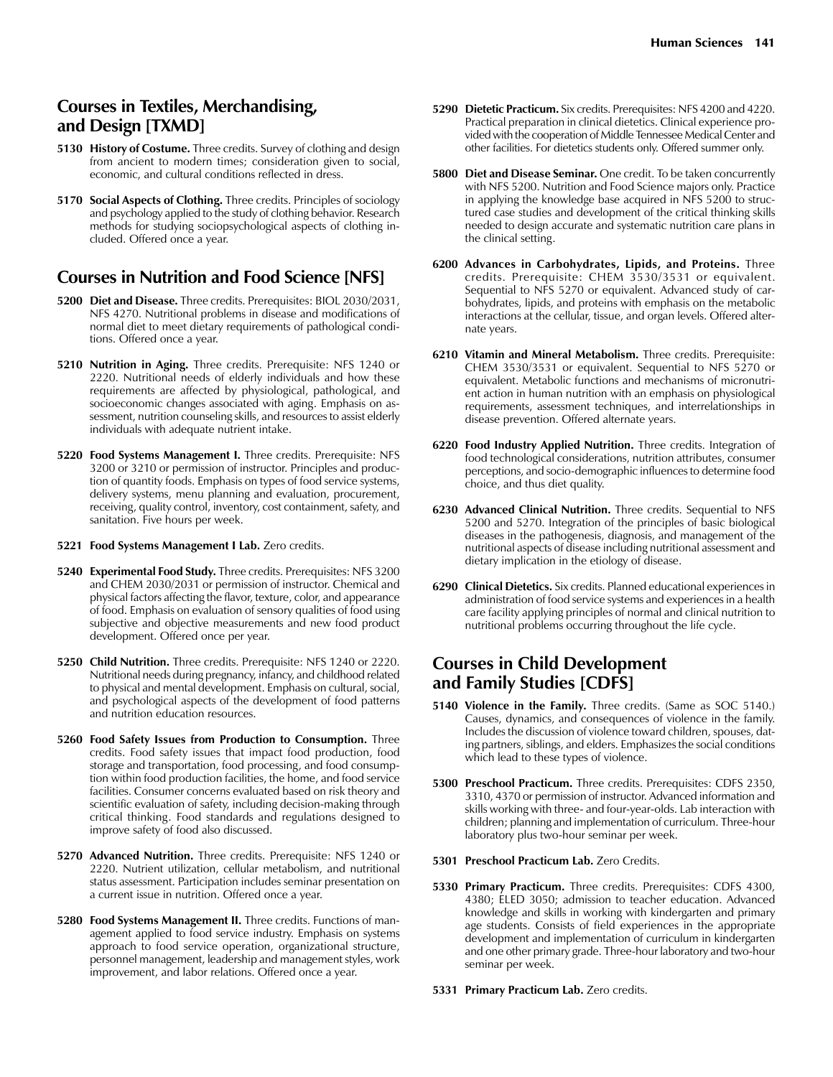#### **Courses in Textiles, Merchandising, and Design [TXMD]**

- **5130 History of Costume.** Three credits. Survey of clothing and design from ancient to modern times; consideration given to social, economic, and cultural conditions reflected in dress.
- **5170 Social Aspects of Clothing.** Three credits. Principles of sociology and psychology applied to the study of clothing behavior. Research methods for studying sociopsychological aspects of clothing included. Offered once a year.

#### **Courses in Nutrition and Food Science [NFS]**

- **5200 Diet and Disease.** Three credits. Prerequisites: BIOL 2030/2031, NFS 4270. Nutritional problems in disease and modifications of normal diet to meet dietary requirements of pathological conditions. Offered once a year.
- **5210 Nutrition in Aging.** Three credits. Prerequisite: NFS 1240 or 2220. Nutritional needs of elderly individuals and how these requirements are affected by physiological, pathological, and socioeconomic changes associated with aging. Emphasis on assessment, nutrition counseling skills, and resources to assist elderly individuals with adequate nutrient intake.
- **5220 Food Systems Management I.** Three credits. Prerequisite: NFS 3200 or 3210 or permission of instructor. Principles and production of quantity foods. Emphasis on types of food service systems, delivery systems, menu planning and evaluation, procurement, receiving, quality control, inventory, cost containment, safety, and sanitation. Five hours per week.
- **5221 Food Systems Management I Lab.** Zero credits.
- **5240 Experimental Food Study.** Three credits. Prerequisites: NFS 3200 and CHEM 2030/2031 or permission of instructor. Chemical and physical factors affecting the flavor, texture, color, and appearance of food. Emphasis on evaluation of sensory qualities of food using subjective and objective measurements and new food product development. Offered once per year.
- **5250 Child Nutrition.** Three credits. Prerequisite: NFS 1240 or 2220. Nutritional needs during pregnancy, infancy, and childhood related to physical and mental development. Emphasis on cultural, social, and psychological aspects of the development of food patterns and nutrition education resources.
- **5260 Food Safety Issues from Production to Consumption.** Three credits. Food safety issues that impact food production, food storage and transportation, food processing, and food consumption within food production facilities, the home, and food service facilities. Consumer concerns evaluated based on risk theory and scientific evaluation of safety, including decision-making through critical thinking. Food standards and regulations designed to improve safety of food also discussed.
- **5270 Advanced Nutrition.** Three credits. Prerequisite: NFS 1240 or 2220. Nutrient utilization, cellular metabolism, and nutritional status assessment. Participation includes seminar presentation on a current issue in nutrition. Offered once a year.
- **5280 Food Systems Management II.** Three credits. Functions of management applied to food service industry. Emphasis on systems approach to food service operation, organizational structure, personnel management, leadership and management styles, work improvement, and labor relations. Offered once a year.
- **5290 Dietetic Practicum.** Six credits. Prerequisites: NFS 4200 and 4220. Practical preparation in clinical dietetics. Clinical experience provided with the cooperation of Middle Tennessee Medical Center and other facilities. For dietetics students only. Offered summer only.
- **5800 Diet and Disease Seminar.** One credit. To be taken concurrently with NFS 5200. Nutrition and Food Science majors only. Practice in applying the knowledge base acquired in NFS 5200 to structured case studies and development of the critical thinking skills needed to design accurate and systematic nutrition care plans in the clinical setting.
- **6200 Advances in Carbohydrates, Lipids, and Proteins.** Three credits. Prerequisite: CHEM 3530/3531 or equivalent. Sequential to NFS 5270 or equivalent. Advanced study of carbohydrates, lipids, and proteins with emphasis on the metabolic interactions at the cellular, tissue, and organ levels. Offered alternate years.
- **6210 Vitamin and Mineral Metabolism.** Three credits. Prerequisite: CHEM 3530/3531 or equivalent. Sequential to NFS 5270 or equivalent. Metabolic functions and mechanisms of micronutrient action in human nutrition with an emphasis on physiological requirements, assessment techniques, and interrelationships in disease prevention. Offered alternate years.
- **6220 Food Industry Applied Nutrition.** Three credits. Integration of food technological considerations, nutrition attributes, consumer perceptions, and socio-demographic influences to determine food choice, and thus diet quality.
- **6230 Advanced Clinical Nutrition.** Three credits. Sequential to NFS 5200 and 5270. Integration of the principles of basic biological diseases in the pathogenesis, diagnosis, and management of the nutritional aspects of disease including nutritional assessment and dietary implication in the etiology of disease.
- **6290 Clinical Dietetics.** Six credits. Planned educational experiences in administration of food service systems and experiences in a health care facility applying principles of normal and clinical nutrition to nutritional problems occurring throughout the life cycle.

### **Courses in Child Development and Family Studies [CDFS]**

- **5140 Violence in the Family.** Three credits. (Same as SOC 5140.) Causes, dynamics, and consequences of violence in the family. Includes the discussion of violence toward children, spouses, dating partners, siblings, and elders. Emphasizes the social conditions which lead to these types of violence.
- **5300 Preschool Practicum.** Three credits. Prerequisites: CDFS 2350, 3310, 4370 or permission of instructor. Advanced information and skills working with three- and four-year-olds. Lab interaction with children; planning and implementation of curriculum. Three-hour laboratory plus two-hour seminar per week.
- **5301 Preschool Practicum Lab.** Zero Credits.
- **5330 Primary Practicum.** Three credits. Prerequisites: CDFS 4300, 4380; ELED 3050; admission to teacher education. Advanced knowledge and skills in working with kindergarten and primary age students. Consists of field experiences in the appropriate development and implementation of curriculum in kindergarten and one other primary grade. Three-hour laboratory and two-hour seminar per week.
- **5331 Primary Practicum Lab.** Zero credits.